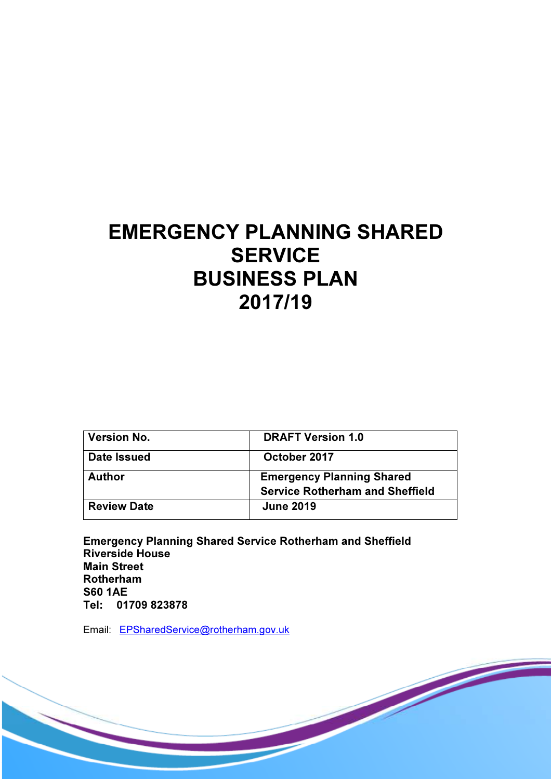# EMERGENCY PLANNING SHARED **SERVICE** BUSINESS PLAN 2017/19

| <b>Version No.</b> | <b>DRAFT Version 1.0</b>                                                   |
|--------------------|----------------------------------------------------------------------------|
| <b>Date Issued</b> | October 2017                                                               |
| <b>Author</b>      | <b>Emergency Planning Shared</b><br><b>Service Rotherham and Sheffield</b> |
| <b>Review Date</b> | <b>June 2019</b>                                                           |

Emergency Planning Shared Service Rotherham and Sheffield Riverside House Main Street Rotherham S60 1AE Tel: 01709 823878

Email: EPSharedService@rotherham.gov.uk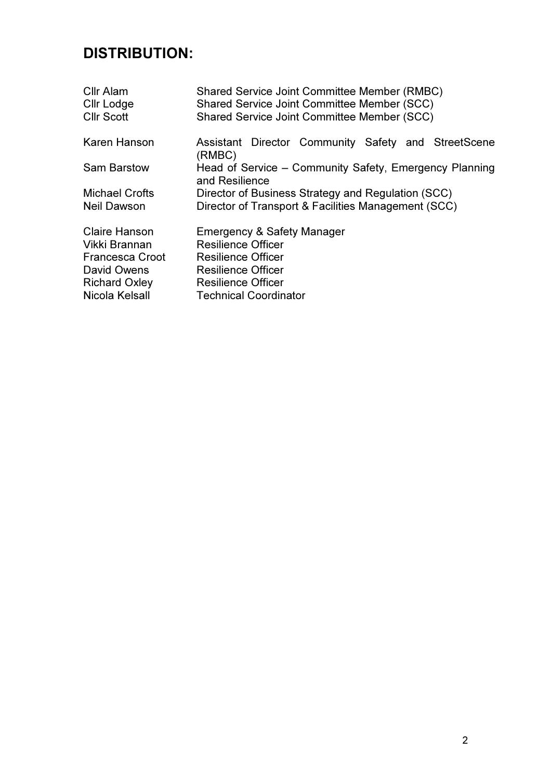# DISTRIBUTION:

| <b>Shared Service Joint Committee Member (RMBC)</b><br>Shared Service Joint Committee Member (SCC) |  |  |  |  |
|----------------------------------------------------------------------------------------------------|--|--|--|--|
| Shared Service Joint Committee Member (SCC)                                                        |  |  |  |  |
| Assistant Director Community Safety and StreetScene<br>(RMBC)                                      |  |  |  |  |
| Head of Service - Community Safety, Emergency Planning<br>and Resilience                           |  |  |  |  |
| Director of Business Strategy and Regulation (SCC)                                                 |  |  |  |  |
| Director of Transport & Facilities Management (SCC)                                                |  |  |  |  |
| Emergency & Safety Manager                                                                         |  |  |  |  |
| <b>Resilience Officer</b>                                                                          |  |  |  |  |
| <b>Resilience Officer</b>                                                                          |  |  |  |  |
| <b>Resilience Officer</b>                                                                          |  |  |  |  |
| <b>Resilience Officer</b>                                                                          |  |  |  |  |
| <b>Technical Coordinator</b>                                                                       |  |  |  |  |
|                                                                                                    |  |  |  |  |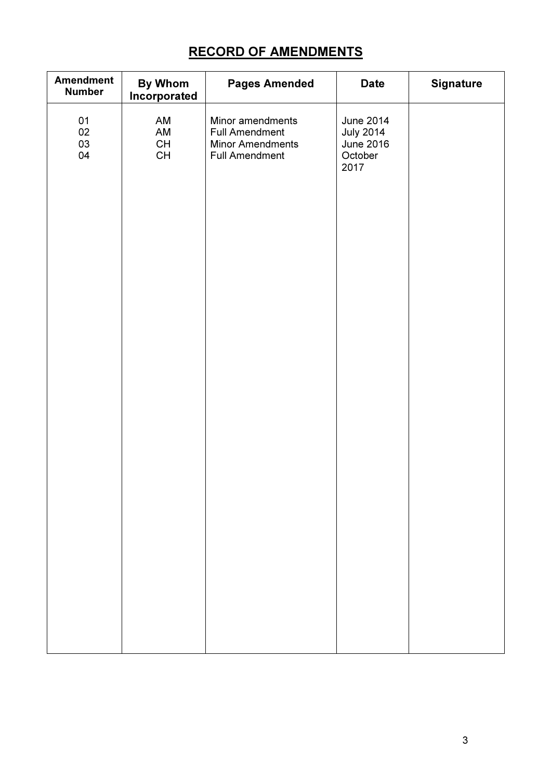## RECORD OF AMENDMENTS

| <b>Amendment</b><br><b>Number</b> | <b>By Whom</b><br>Incorporated                                                                                                                  | <b>Pages Amended</b>                                                                          | <b>Date</b>                                                                 | <b>Signature</b> |
|-----------------------------------|-------------------------------------------------------------------------------------------------------------------------------------------------|-----------------------------------------------------------------------------------------------|-----------------------------------------------------------------------------|------------------|
| 01<br>$02\,$<br>03<br>04          | AM<br>AM<br>$\mathsf{CH}% \left( \mathcal{M}\right) \equiv\mathsf{CH}^{3}\left( \mathcal{M}\right)$<br>$\mathsf{CH}% \left( \mathcal{M}\right)$ | Minor amendments<br><b>Full Amendment</b><br><b>Minor Amendments</b><br><b>Full Amendment</b> | <b>June 2014</b><br><b>July 2014</b><br><b>June 2016</b><br>October<br>2017 |                  |
|                                   |                                                                                                                                                 |                                                                                               |                                                                             |                  |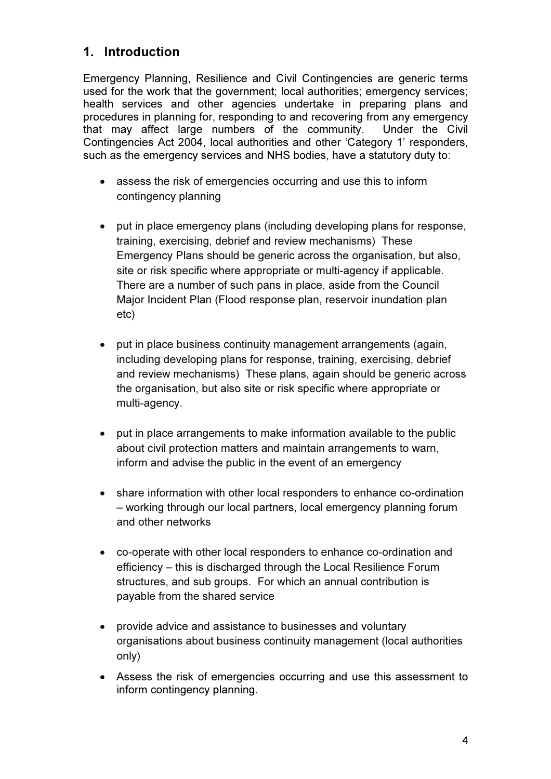#### 1. Introduction

Emergency Planning, Resilience and Civil Contingencies are generic terms used for the work that the government; local authorities; emergency services; health services and other agencies undertake in preparing plans and procedures in planning for, responding to and recovering from any emergency that may affect large numbers of the community. Under the Civil Contingencies Act 2004, local authorities and other 'Category 1' responders, such as the emergency services and NHS bodies, have a statutory duty to:

- assess the risk of emergencies occurring and use this to inform contingency planning
- put in place emergency plans (including developing plans for response, training, exercising, debrief and review mechanisms) These Emergency Plans should be generic across the organisation, but also, site or risk specific where appropriate or multi-agency if applicable. There are a number of such pans in place, aside from the Council Major Incident Plan (Flood response plan, reservoir inundation plan etc)
- put in place business continuity management arrangements (again, including developing plans for response, training, exercising, debrief and review mechanisms) These plans, again should be generic across the organisation, but also site or risk specific where appropriate or multi-agency.
- put in place arrangements to make information available to the public about civil protection matters and maintain arrangements to warn, inform and advise the public in the event of an emergency
- share information with other local responders to enhance co-ordination – working through our local partners, local emergency planning forum and other networks
- co-operate with other local responders to enhance co-ordination and efficiency – this is discharged through the Local Resilience Forum structures, and sub groups. For which an annual contribution is payable from the shared service
- provide advice and assistance to businesses and voluntary organisations about business continuity management (local authorities only)
- Assess the risk of emergencies occurring and use this assessment to inform contingency planning.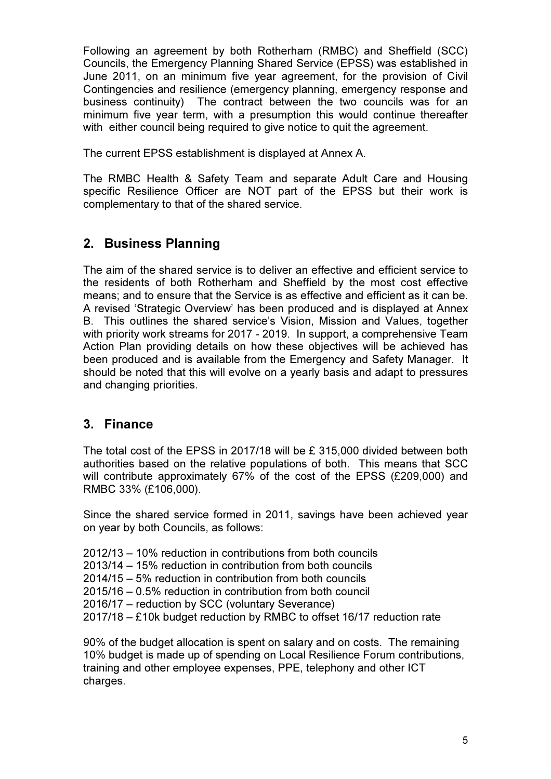Following an agreement by both Rotherham (RMBC) and Sheffield (SCC) Councils, the Emergency Planning Shared Service (EPSS) was established in June 2011, on an minimum five year agreement, for the provision of Civil Contingencies and resilience (emergency planning, emergency response and business continuity) The contract between the two councils was for an minimum five year term, with a presumption this would continue thereafter with either council being required to give notice to quit the agreement.

The current EPSS establishment is displayed at Annex A.

The RMBC Health & Safety Team and separate Adult Care and Housing specific Resilience Officer are NOT part of the EPSS but their work is complementary to that of the shared service.

### 2. Business Planning

The aim of the shared service is to deliver an effective and efficient service to the residents of both Rotherham and Sheffield by the most cost effective means; and to ensure that the Service is as effective and efficient as it can be. A revised 'Strategic Overview' has been produced and is displayed at Annex B. This outlines the shared service's Vision, Mission and Values, together with priority work streams for 2017 - 2019. In support, a comprehensive Team Action Plan providing details on how these objectives will be achieved has been produced and is available from the Emergency and Safety Manager. It should be noted that this will evolve on a yearly basis and adapt to pressures and changing priorities.

### 3. Finance

The total cost of the EPSS in 2017/18 will be £ 315,000 divided between both authorities based on the relative populations of both. This means that SCC will contribute approximately 67% of the cost of the EPSS (£209,000) and RMBC 33% (£106,000).

Since the shared service formed in 2011, savings have been achieved year on year by both Councils, as follows:

- 2012/13 10% reduction in contributions from both councils
- 2013/14 15% reduction in contribution from both councils
- 2014/15 5% reduction in contribution from both councils
- 2015/16 0.5% reduction in contribution from both council
- 2016/17 reduction by SCC (voluntary Severance)
- 2017/18 £10k budget reduction by RMBC to offset 16/17 reduction rate

90% of the budget allocation is spent on salary and on costs. The remaining 10% budget is made up of spending on Local Resilience Forum contributions, training and other employee expenses, PPE, telephony and other ICT charges.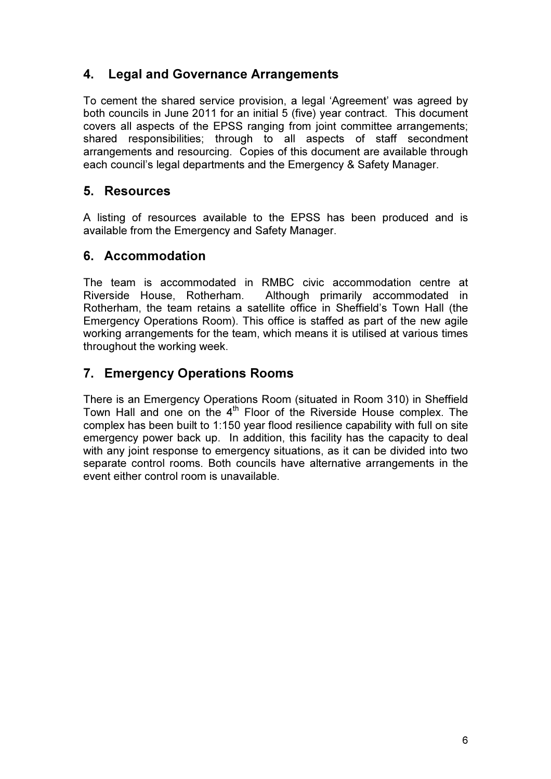#### 4. Legal and Governance Arrangements

To cement the shared service provision, a legal 'Agreement' was agreed by both councils in June 2011 for an initial 5 (five) year contract. This document covers all aspects of the EPSS ranging from joint committee arrangements; shared responsibilities; through to all aspects of staff secondment arrangements and resourcing. Copies of this document are available through each council's legal departments and the Emergency & Safety Manager.

#### 5. Resources

A listing of resources available to the EPSS has been produced and is available from the Emergency and Safety Manager.

#### 6. Accommodation

The team is accommodated in RMBC civic accommodation centre at Riverside House, Rotherham. Although primarily accommodated in Rotherham, the team retains a satellite office in Sheffield's Town Hall (the Emergency Operations Room). This office is staffed as part of the new agile working arrangements for the team, which means it is utilised at various times throughout the working week.

### 7. Emergency Operations Rooms

There is an Emergency Operations Room (situated in Room 310) in Sheffield Town Hall and one on the  $4<sup>th</sup>$  Floor of the Riverside House complex. The complex has been built to 1:150 year flood resilience capability with full on site emergency power back up. In addition, this facility has the capacity to deal with any joint response to emergency situations, as it can be divided into two separate control rooms. Both councils have alternative arrangements in the event either control room is unavailable.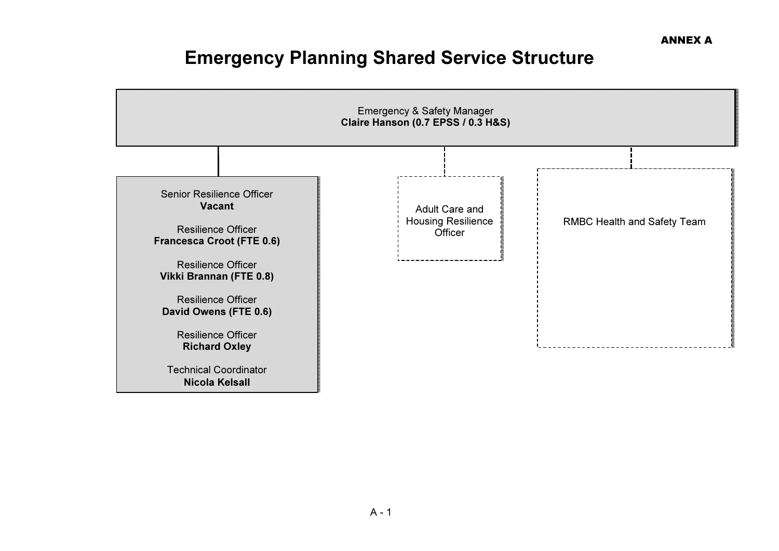# Emergency Planning Shared Service Structure